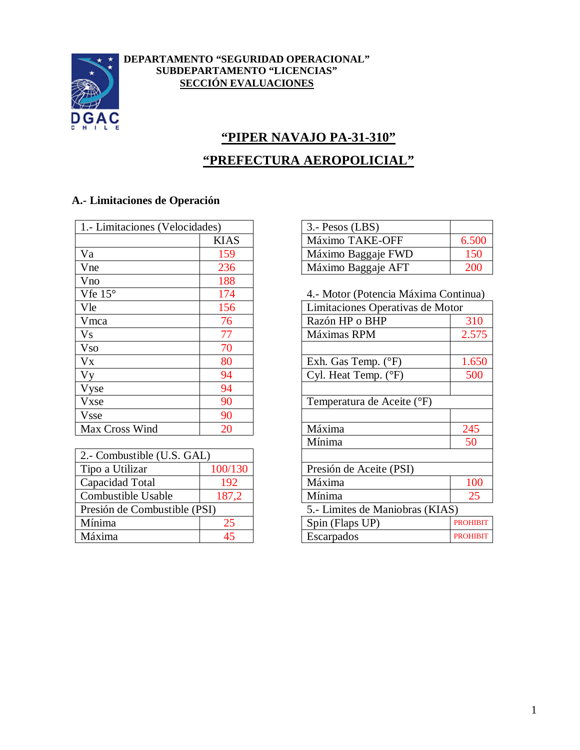

#### **DEPARTAMENTO "SEGURIDAD OPERACIONAL" SUBDEPARTAMENTO "LICENCIAS" SECCIÓN EVALUACIONES**

# **"PIPER NAVAJO PA-31-310" "PREFECTURA AEROPOLICIAL"**

# **A.- Limitaciones de Operación**

| 1. - Limitaciones (Velocidades) | $3. -$ Pesos (LBS)               |
|---------------------------------|----------------------------------|
| <b>KIAS</b>                     | Máximo TAKE-OFF                  |
| 159                             | Máximo Baggaje FWD               |
| 236                             | Máximo Baggaje AFT               |
| 188                             |                                  |
| 174                             | 4.- Motor (Potencia Máxima Conti |
| 156                             | Limitaciones Operativas de Motor |
| 76                              | Razón HP o BHP                   |
| 77                              | Máximas RPM                      |
| 70                              |                                  |
| 80                              | Exh. Gas Temp. $(^{\circ}F)$     |
| 94                              | Cyl. Heat Temp. $(^{\circ}F)$    |
| 94                              |                                  |
| 90                              | Temperatura de Aceite (°F)       |
| 90                              |                                  |
| 20                              | Máxima                           |
|                                 |                                  |

| 2.- Combustible (U.S. GAL)   |         |                                 |             |
|------------------------------|---------|---------------------------------|-------------|
| Tipo a Utilizar              | 100/130 | Presión de Aceite (PSI)         |             |
| Capacidad Total              | 192     | Máxima                          |             |
| Combustible Usable           | 187,2   | Mínima                          |             |
| Presión de Combustible (PSI) |         | 5.- Limites de Maniobras (KIAS) |             |
| Mínima                       | 25      | Spin (Flaps UP)                 |             |
| Máxima                       | 45      | Escarpados                      | $\mathbf P$ |

| 1.- Limitaciones (Velocidades) |             | $3. -$ Pesos (LBS) |  |
|--------------------------------|-------------|--------------------|--|
|                                | <b>KIAS</b> | Máximo TAKE-OFF    |  |
| Va                             | 59          | Máximo Baggaje FWD |  |
| Vne                            | 236         | Máximo Baggaje AFT |  |

4.- Motor (Potencia Máxima Continua)

| Vle                          | 156     | Limitaciones Operativas de Motor |                 |
|------------------------------|---------|----------------------------------|-----------------|
| Vmca                         | 76      | Razón HP o BHP                   | 310             |
| V <sub>S</sub>               | 77      | Máximas RPM                      | 2.575           |
| <b>Vso</b>                   | 70      |                                  |                 |
| $V_{X}$                      | 80      | Exh. Gas Temp. $(^{\circ}F)$     | 1.650           |
| V <sub>V</sub>               | 94      | Cyl. Heat Temp. (°F)             | 500             |
| Vyse                         | 94      |                                  |                 |
| Vxse                         | 90      | Temperatura de Aceite (°F)       |                 |
| <b>Vsse</b>                  | 90      |                                  |                 |
| Max Cross Wind               | 20      | Máxima                           | 245             |
|                              |         | Mínima                           | 50              |
| 2.- Combustible (U.S. GAL)   |         |                                  |                 |
| Tipo a Utilizar              | 100/130 | Presión de Aceite (PSI)          |                 |
| Capacidad Total              | 192     | Máxima                           | 100             |
| Combustible Usable           | 187,2   | Mínima                           | 25              |
| Presión de Combustible (PSI) |         | 5.- Limites de Maniobras (KIAS)  |                 |
| Mínima                       | 25      | Spin (Flaps UP)                  | <b>PROHIBIT</b> |
| Máxima                       | 45      | Escarpados                       | <b>PROHIBIT</b> |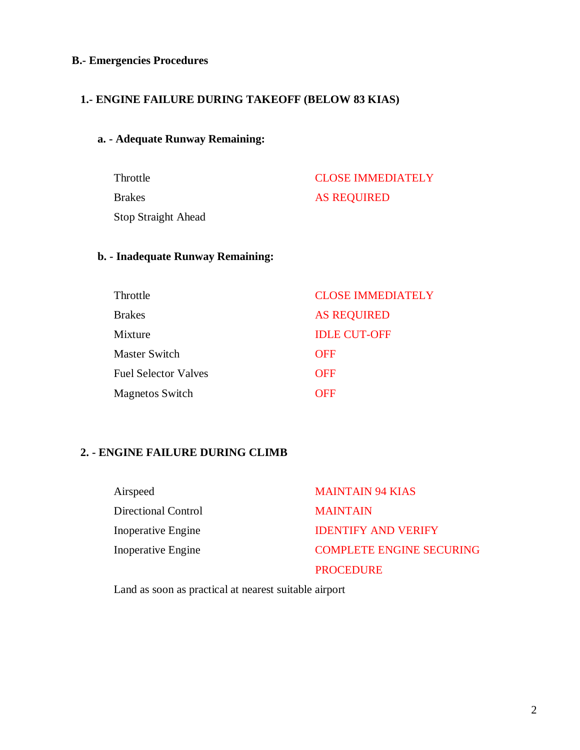### **B.- Emergencies Procedures**

## **1.- ENGINE FAILURE DURING TAKEOFF (BELOW 83 KIAS)**

#### **a. - Adequate Runway Remaining:**

Throttle CLOSE IMMEDIATELY Brakes AS REQUIRED Stop Straight Ahead

#### **b. - Inadequate Runway Remaining:**

| Throttle                    | <b>CLOSE IMMEDIATELY</b> |
|-----------------------------|--------------------------|
| <b>Brakes</b>               | <b>AS REQUIRED</b>       |
| Mixture                     | <b>IDLE CUT-OFF</b>      |
| Master Switch               | <b>OFF</b>               |
| <b>Fuel Selector Valves</b> | <b>OFF</b>               |
| <b>Magnetos Switch</b>      | OFF                      |

## **2. - ENGINE FAILURE DURING CLIMB**

| Airspeed            | <b>MAINTAIN 94 KIAS</b>         |
|---------------------|---------------------------------|
| Directional Control | <b>MAINTAIN</b>                 |
| Inoperative Engine  | <b>IDENTIFY AND VERIFY</b>      |
| Inoperative Engine  | <b>COMPLETE ENGINE SECURING</b> |
|                     | <b>PROCEDURE</b>                |

Land as soon as practical at nearest suitable airport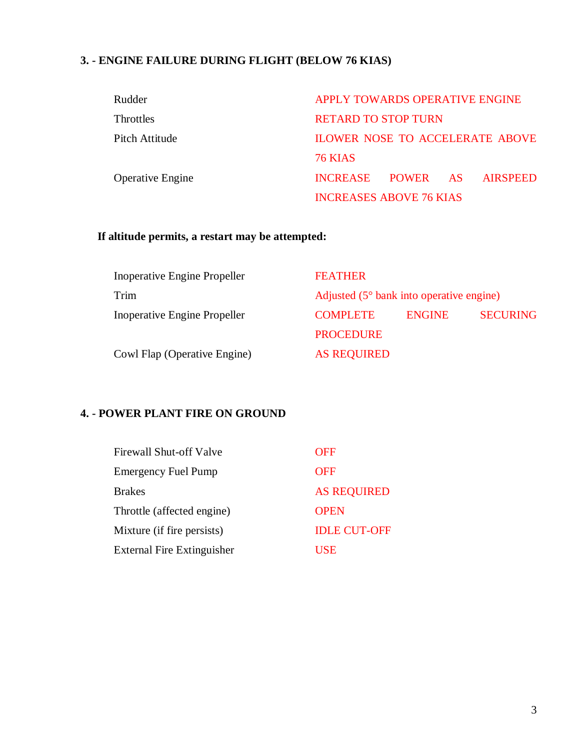# **3. - ENGINE FAILURE DURING FLIGHT (BELOW 76 KIAS)**

| Rudder                  | APPLY TOWARDS OPERATIVE ENGINE           |
|-------------------------|------------------------------------------|
| <b>Throttles</b>        | <b>RETARD TO STOP TURN</b>               |
| Pitch Attitude          | <b>ILOWER NOSE TO ACCELERATE ABOVE</b>   |
|                         | <b>76 KIAS</b>                           |
| <b>Operative Engine</b> | INCREASE POWER<br><b>AIRSPEED</b><br>AS. |
|                         | <b>INCREASES ABOVE 76 KIAS</b>           |

# **If altitude permits, a restart may be attempted:**

| Inoperative Engine Propeller | <b>FEATHER</b>                                    |               |                 |
|------------------------------|---------------------------------------------------|---------------|-----------------|
| Trim                         | Adjusted $(5^{\circ}$ bank into operative engine) |               |                 |
| Inoperative Engine Propeller | <b>COMPLETE</b>                                   | <b>ENGINE</b> | <b>SECURING</b> |
|                              | <b>PROCEDURE</b>                                  |               |                 |
| Cowl Flap (Operative Engine) | <b>AS REQUIRED</b>                                |               |                 |

# **4. - POWER PLANT FIRE ON GROUND**

| <b>Firewall Shut-off Valve</b>    | OFF                 |
|-----------------------------------|---------------------|
| <b>Emergency Fuel Pump</b>        | <b>OFF</b>          |
| <b>Brakes</b>                     | <b>AS REQUIRED</b>  |
| Throttle (affected engine)        | <b>OPEN</b>         |
| Mixture (if fire persists)        | <b>IDLE CUT-OFF</b> |
| <b>External Fire Extinguisher</b> | USE                 |